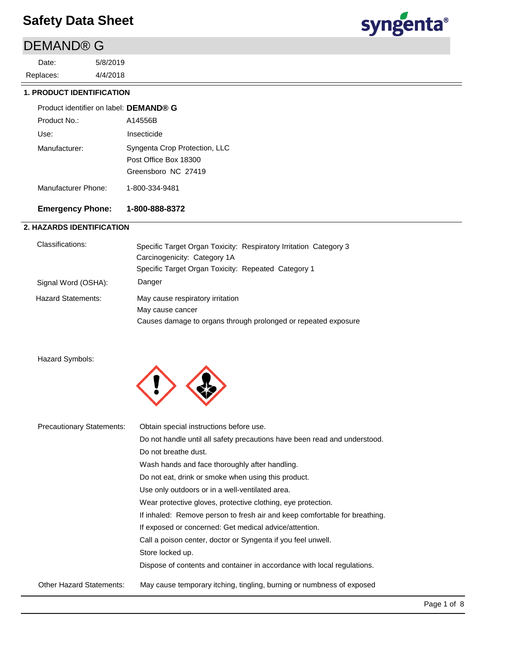# DEMAND® G

4/4/2018 5/8/2019 Replaces: Date:



#### **1. PRODUCT IDENTIFICATION**

| Product identifier on label: DEMAND® G |                                                                               |
|----------------------------------------|-------------------------------------------------------------------------------|
| Product No.:                           | A14556B                                                                       |
| Use:                                   | Insecticide                                                                   |
| Manufacturer:                          | Syngenta Crop Protection, LLC<br>Post Office Box 18300<br>Greensboro NC 27419 |
| Manufacturer Phone:                    | 1-800-334-9481                                                                |

### **Emergency Phone: 1-800-888-8372**

### **2. HAZARDS IDENTIFICATION**

| Classifications:          | Specific Target Organ Toxicity: Respiratory Irritation Category 3 |
|---------------------------|-------------------------------------------------------------------|
|                           | Carcinogenicity: Category 1A                                      |
|                           | Specific Target Organ Toxicity: Repeated Category 1               |
| Signal Word (OSHA):       | Danger                                                            |
| <b>Hazard Statements:</b> | May cause respiratory irritation                                  |
|                           | May cause cancer                                                  |
|                           | Causes damage to organs through prolonged or repeated exposure    |

#### Hazard Symbols:



| <b>Precautionary Statements:</b> | Obtain special instructions before use.                                    |
|----------------------------------|----------------------------------------------------------------------------|
|                                  | Do not handle until all safety precautions have been read and understood.  |
|                                  | Do not breathe dust.                                                       |
|                                  | Wash hands and face thoroughly after handling.                             |
|                                  | Do not eat, drink or smoke when using this product.                        |
|                                  | Use only outdoors or in a well-ventilated area.                            |
|                                  | Wear protective gloves, protective clothing, eye protection.               |
|                                  | If inhaled: Remove person to fresh air and keep comfortable for breathing. |
|                                  | If exposed or concerned: Get medical advice/attention.                     |
|                                  | Call a poison center, doctor or Syngenta if you feel unwell.               |
|                                  | Store locked up.                                                           |
|                                  | Dispose of contents and container in accordance with local regulations.    |
| <b>Other Hazard Statements:</b>  | May cause temporary itching, tingling, burning or numbness of exposed      |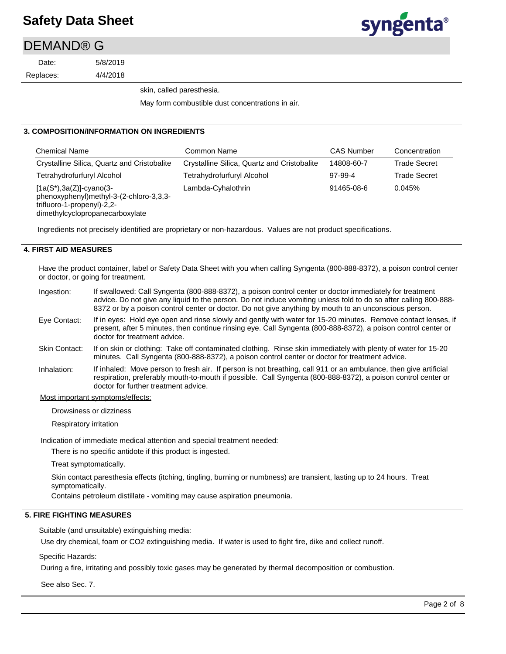### DEMAND® G

Replaces: Date:

4/4/2018 5/8/2019

skin, called paresthesia.

May form combustible dust concentrations in air.

#### **3. COMPOSITION/INFORMATION ON INGREDIENTS**

| <b>Chemical Name</b>                                                                                                                    | Common Name                                 | <b>CAS Number</b> | Concentration       |
|-----------------------------------------------------------------------------------------------------------------------------------------|---------------------------------------------|-------------------|---------------------|
| Crystalline Silica, Quartz and Cristobalite                                                                                             | Crystalline Silica, Quartz and Cristobalite | 14808-60-7        | <b>Trade Secret</b> |
| Tetrahydrofurfuryl Alcohol                                                                                                              | Tetrahydrofurfuryl Alcohol                  | 97-99-4           | <b>Trade Secret</b> |
| $[1a(S*), 3a(Z)]$ -cyano(3-<br>phenoxyphenyl)methyl-3-(2-chloro-3,3,3-<br>trifluoro-1-propenyl)-2,2-<br>dimethylcyclopropanecarboxylate | Lambda-Cyhalothrin                          | 91465-08-6        | 0.045%              |

Ingredients not precisely identified are proprietary or non-hazardous. Values are not product specifications.

#### **4. FIRST AID MEASURES**

Have the product container, label or Safety Data Sheet with you when calling Syngenta (800-888-8372), a poison control center or doctor, or going for treatment.

- If swallowed: Call Syngenta (800-888-8372), a poison control center or doctor immediately for treatment advice. Do not give any liquid to the person. Do not induce vomiting unless told to do so after calling 800-888- 8372 or by a poison control center or doctor. Do not give anything by mouth to an unconscious person. If in eyes: Hold eye open and rinse slowly and gently with water for 15-20 minutes. Remove contact lenses, if Ingestion: Eye Contact:
- present, after 5 minutes, then continue rinsing eye. Call Syngenta (800-888-8372), a poison control center or doctor for treatment advice.
- If on skin or clothing: Take off contaminated clothing. Rinse skin immediately with plenty of water for 15-20 minutes. Call Syngenta (800-888-8372), a poison control center or doctor for treatment advice. Skin Contact:
- If inhaled: Move person to fresh air. If person is not breathing, call 911 or an ambulance, then give artificial respiration, preferably mouth-to-mouth if possible. Call Syngenta (800-888-8372), a poison control center or doctor for further treatment advice. Inhalation:

#### Most important symptoms/effects:

Drowsiness or dizziness

Respiratory irritation

Indication of immediate medical attention and special treatment needed:

There is no specific antidote if this product is ingested.

Treat symptomatically.

Skin contact paresthesia effects (itching, tingling, burning or numbness) are transient, lasting up to 24 hours. Treat symptomatically.

Contains petroleum distillate - vomiting may cause aspiration pneumonia.

#### **5. FIRE FIGHTING MEASURES**

Suitable (and unsuitable) extinguishing media:

Use dry chemical, foam or CO2 extinguishing media. If water is used to fight fire, dike and collect runoff.

Specific Hazards:

During a fire, irritating and possibly toxic gases may be generated by thermal decomposition or combustion.

See also Sec. 7.

**syngenta**®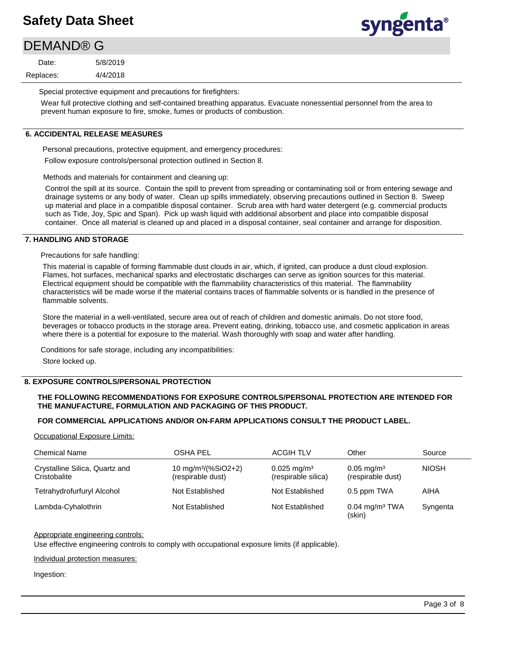# **syngenta**®

# DEMAND® G

4/4/2018 5/8/2019 Replaces: Date:

Special protective equipment and precautions for firefighters:

Wear full protective clothing and self-contained breathing apparatus. Evacuate nonessential personnel from the area to prevent human exposure to fire, smoke, fumes or products of combustion.

### **6. ACCIDENTAL RELEASE MEASURES**

Personal precautions, protective equipment, and emergency procedures: Follow exposure controls/personal protection outlined in Section 8.

Methods and materials for containment and cleaning up:

Control the spill at its source. Contain the spill to prevent from spreading or contaminating soil or from entering sewage and drainage systems or any body of water. Clean up spills immediately, observing precautions outlined in Section 8. Sweep up material and place in a compatible disposal container. Scrub area with hard water detergent (e.g. commercial products such as Tide, Joy, Spic and Span). Pick up wash liquid with additional absorbent and place into compatible disposal container. Once all material is cleaned up and placed in a disposal container, seal container and arrange for disposition.

#### **7. HANDLING AND STORAGE**

Precautions for safe handling:

This material is capable of forming flammable dust clouds in air, which, if ignited, can produce a dust cloud explosion. Flames, hot surfaces, mechanical sparks and electrostatic discharges can serve as ignition sources for this material. Electrical equipment should be compatible with the flammability characteristics of this material. The flammability characteristics will be made worse if the material contains traces of flammable solvents or is handled in the presence of flammable solvents.

Store the material in a well-ventilated, secure area out of reach of children and domestic animals. Do not store food, beverages or tobacco products in the storage area. Prevent eating, drinking, tobacco use, and cosmetic application in areas where there is a potential for exposure to the material. Wash thoroughly with soap and water after handling.

Conditions for safe storage, including any incompatibilities:

Store locked up.

#### **8. EXPOSURE CONTROLS/PERSONAL PROTECTION**

#### **THE FOLLOWING RECOMMENDATIONS FOR EXPOSURE CONTROLS/PERSONAL PROTECTION ARE INTENDED FOR THE MANUFACTURE, FORMULATION AND PACKAGING OF THIS PRODUCT.**

#### **FOR COMMERCIAL APPLICATIONS AND/OR ON-FARM APPLICATIONS CONSULT THE PRODUCT LABEL.**

Occupational Exposure Limits:

| <b>Chemical Name</b>                           | <b>OSHA PEL</b>                                      | <b>ACGIH TLV</b>                              | Other                                         | Source       |
|------------------------------------------------|------------------------------------------------------|-----------------------------------------------|-----------------------------------------------|--------------|
| Crystalline Silica, Quartz and<br>Cristobalite | 10 mg/m <sup>3</sup> /(%SiO2+2)<br>(respirable dust) | $0.025 \text{ mg/m}^3$<br>(respirable silica) | $0.05 \,\mathrm{mg/m^3}$<br>(respirable dust) | <b>NIOSH</b> |
| Tetrahydrofurfuryl Alcohol                     | Not Established                                      | Not Established                               | 0.5 ppm TWA                                   | AIHA         |
| Lambda-Cyhalothrin                             | Not Established                                      | Not Established                               | $0.04$ mg/m <sup>3</sup> TWA<br>(skin)        | Syngenta     |

#### Appropriate engineering controls:

Use effective engineering controls to comply with occupational exposure limits (if applicable).

Individual protection measures:

Ingestion: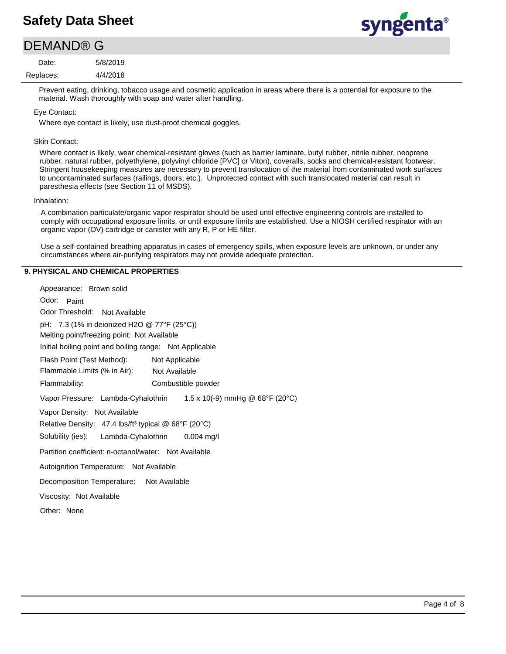# syngenta®

### DEMAND® G

4/4/2018 5/8/2019 Replaces: Date:

> Prevent eating, drinking, tobacco usage and cosmetic application in areas where there is a potential for exposure to the material. Wash thoroughly with soap and water after handling.

#### Eye Contact:

Where eye contact is likely, use dust-proof chemical goggles.

#### Skin Contact:

Where contact is likely, wear chemical-resistant gloves (such as barrier laminate, butyl rubber, nitrile rubber, neoprene rubber, natural rubber, polyethylene, polyvinyl chloride [PVC] or Viton), coveralls, socks and chemical-resistant footwear. Stringent housekeeping measures are necessary to prevent translocation of the material from contaminated work surfaces to uncontaminated surfaces (railings, doors, etc.). Unprotected contact with such translocated material can result in paresthesia effects (see Section 11 of MSDS).

#### Inhalation:

A combination particulate/organic vapor respirator should be used until effective engineering controls are installed to comply with occupational exposure limits, or until exposure limits are established. Use a NIOSH certified respirator with an organic vapor (OV) cartridge or canister with any R, P or HE filter.

Use a self-contained breathing apparatus in cases of emergency spills, when exposure levels are unknown, or under any circumstances where air-purifying respirators may not provide adequate protection.

#### **9. PHYSICAL AND CHEMICAL PROPERTIES**

Odor: Paint Appearance: Brown solid Vapor Pressure: Lambda-Cyhalothrin Solubility (ies): pH: 7.3 (1% in deionized H2O @ 77°F (25°C)) Initial boiling point and boiling range: Not Applicable Melting point/freezing point: Not Available Odor Threshold: Not Available Not Available Flammability: Combustible powder Not Applicable Autoignition Temperature: Not Available Flash Point (Test Method): Flammable Limits (% in Air): Vapor Density: Not Available Relative Density: 47.4 lbs/ft<sup>3</sup> typical @ 68°F (20°C) Decomposition Temperature: Not Available Viscosity: Not Available Partition coefficient: n-octanol/water: Not Available Other: None 1.5 x 10(-9) mmHg @ 68°F (20°C) Lambda-Cyhalothrin 0.004 mg/l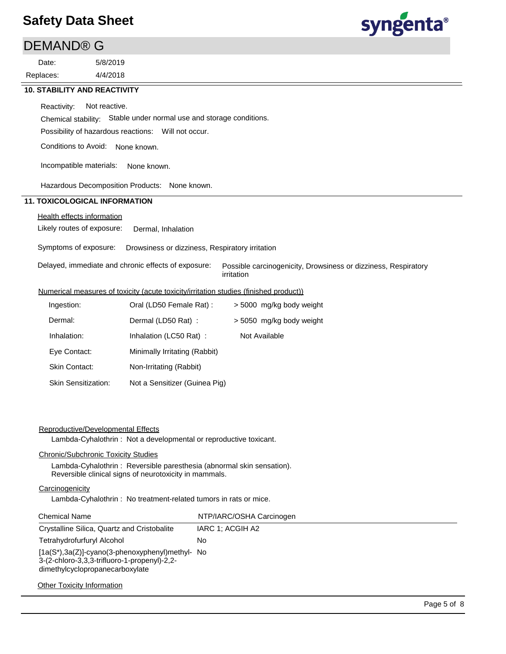### DEMAND® G

4/4/2018 5/8/2019 Replaces: Date:



# **10. STABILITY AND REACTIVITY** Reactivity: Not reactive.

Chemical stability: Stable under normal use and storage conditions.

Possibility of hazardous reactions: Will not occur.

Conditions to Avoid: None known.

Incompatible materials: None known.

Hazardous Decomposition Products: None known.

### **11. TOXICOLOGICAL INFORMATION**

### Health effects information

Likely routes of exposure: Dermal, Inhalation

Symptoms of exposure: Drowsiness or dizziness, Respiratory irritation

| Delayed, immediate and chronic effects of exposure:  Possible carcinogenicity, Drowsiness or dizziness, Respiratory |
|---------------------------------------------------------------------------------------------------------------------|
| irritation                                                                                                          |

#### Numerical measures of toxicity (acute toxicity/irritation studies (finished product))

| Ingestion:                 | Oral (LD50 Female Rat):       | > 5000 mg/kg body weight |
|----------------------------|-------------------------------|--------------------------|
| Dermal:                    | Dermal (LD50 Rat) :           | > 5050 mg/kg body weight |
| Inhalation:                | Inhalation (LC50 Rat):        | Not Available            |
| Eye Contact:               | Minimally Irritating (Rabbit) |                          |
| <b>Skin Contact:</b>       | Non-Irritating (Rabbit)       |                          |
| <b>Skin Sensitization:</b> | Not a Sensitizer (Guinea Pig) |                          |

#### Reproductive/Developmental Effects

Lambda-Cyhalothrin : Not a developmental or reproductive toxicant.

#### Chronic/Subchronic Toxicity Studies

Lambda-Cyhalothrin : Reversible paresthesia (abnormal skin sensation). Reversible clinical signs of neurotoxicity in mammals.

#### **Carcinogenicity**

Lambda-Cyhalothrin : No treatment-related tumors in rats or mice.

| <b>Chemical Name</b>                                                                                                                     | NTP/IARC/OSHA Carcinogen |
|------------------------------------------------------------------------------------------------------------------------------------------|--------------------------|
| Crystalline Silica, Quartz and Cristobalite                                                                                              | IARC 1: ACGIH A2         |
| Tetrahydrofurfuryl Alcohol                                                                                                               | No                       |
| $[1a(S^*)$ , 3a(Z)]-cyano(3-phenoxyphenyl) methyl- No<br>3-(2-chloro-3,3,3-trifluoro-1-propenyl)-2,2-<br>dimethylcyclopropanecarboxylate |                          |
| <b>Other Toxicity Information</b>                                                                                                        |                          |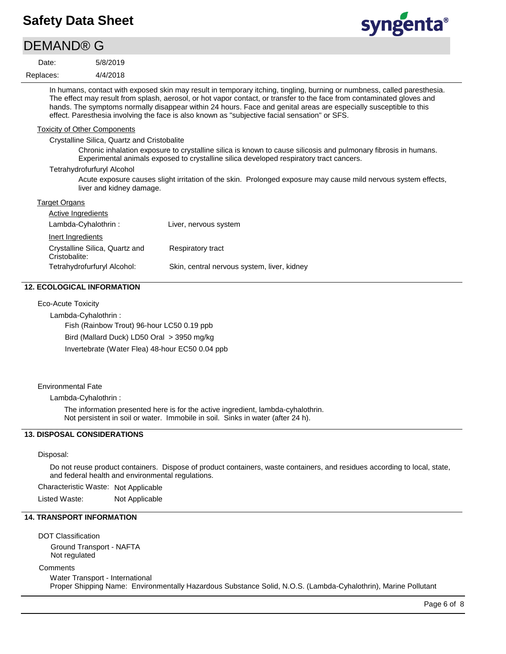# syngenta®

| <b>DEMAND® G</b>                    |                                             |                                                                                                                                                                                                                                                                                                                                                                                                                                                                          |
|-------------------------------------|---------------------------------------------|--------------------------------------------------------------------------------------------------------------------------------------------------------------------------------------------------------------------------------------------------------------------------------------------------------------------------------------------------------------------------------------------------------------------------------------------------------------------------|
| Date:                               | 5/8/2019                                    |                                                                                                                                                                                                                                                                                                                                                                                                                                                                          |
| Replaces:                           | 4/4/2018                                    |                                                                                                                                                                                                                                                                                                                                                                                                                                                                          |
|                                     |                                             | In humans, contact with exposed skin may result in temporary itching, tingling, burning or numbness, called paresthesia.<br>The effect may result from splash, aerosol, or hot vapor contact, or transfer to the face from contaminated gloves and<br>hands. The symptoms normally disappear within 24 hours. Face and genital areas are especially susceptible to this<br>effect. Paresthesia involving the face is also known as "subjective facial sensation" or SFS. |
| <b>Toxicity of Other Components</b> |                                             |                                                                                                                                                                                                                                                                                                                                                                                                                                                                          |
|                                     | Crystalline Silica, Quartz and Cristobalite |                                                                                                                                                                                                                                                                                                                                                                                                                                                                          |
|                                     |                                             | Chronic inhalation exposure to crystalline silica is known to cause silicosis and pulmonary fibrosis in humans.<br>Experimental animals exposed to crystalline silica developed respiratory tract cancers.                                                                                                                                                                                                                                                               |
|                                     | Tetrahydrofurfuryl Alcohol                  |                                                                                                                                                                                                                                                                                                                                                                                                                                                                          |
|                                     | liver and kidney damage.                    | Acute exposure causes slight irritation of the skin. Prolonged exposure may cause mild nervous system effects,                                                                                                                                                                                                                                                                                                                                                           |
| Target Organs                       |                                             |                                                                                                                                                                                                                                                                                                                                                                                                                                                                          |
| <b>Active Ingredients</b>           |                                             |                                                                                                                                                                                                                                                                                                                                                                                                                                                                          |
| Lambda-Cyhalothrin:                 |                                             | Liver, nervous system                                                                                                                                                                                                                                                                                                                                                                                                                                                    |
| Inert Ingredients                   |                                             |                                                                                                                                                                                                                                                                                                                                                                                                                                                                          |
| Cristobalite:                       | Crystalline Silica, Quartz and              | Respiratory tract                                                                                                                                                                                                                                                                                                                                                                                                                                                        |
|                                     | Tetrahydrofurfuryl Alcohol:                 | Skin, central nervous system, liver, kidney                                                                                                                                                                                                                                                                                                                                                                                                                              |

#### **12. ECOLOGICAL INFORMATION**

Eco-Acute Toxicity

Lambda-Cyhalothrin : Fish (Rainbow Trout) 96-hour LC50 0.19 ppb Bird (Mallard Duck) LD50 Oral > 3950 mg/kg Invertebrate (Water Flea) 48-hour EC50 0.04 ppb

Environmental Fate

Lambda-Cyhalothrin :

The information presented here is for the active ingredient, lambda-cyhalothrin. Not persistent in soil or water. Immobile in soil. Sinks in water (after 24 h).

### **13. DISPOSAL CONSIDERATIONS**

#### Disposal:

Do not reuse product containers. Dispose of product containers, waste containers, and residues according to local, state, and federal health and environmental regulations.

Characteristic Waste: Not Applicable

Listed Waste: Not Applicable

### **14. TRANSPORT INFORMATION**

DOT Classification Ground Transport - NAFTA Not regulated

**Comments** 

Water Transport - International Proper Shipping Name: Environmentally Hazardous Substance Solid, N.O.S. (Lambda-Cyhalothrin), Marine Pollutant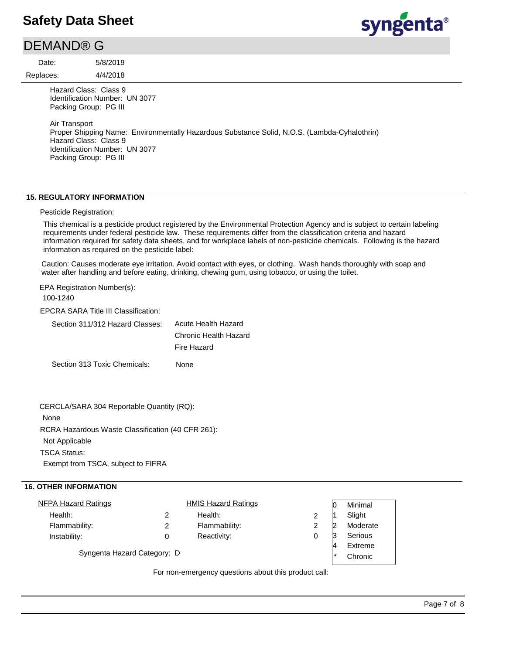### DEMAND® G

Replaces: Date:

4/4/2018 5/8/2019 syngenta®

Hazard Class: Class 9 Identification Number: UN 3077 Packing Group: PG III

Air Transport Proper Shipping Name: Environmentally Hazardous Substance Solid, N.O.S. (Lambda-Cyhalothrin) Hazard Class: Class 9 Identification Number: UN 3077 Packing Group: PG III

### **15. REGULATORY INFORMATION**

#### Pesticide Registration:

This chemical is a pesticide product registered by the Environmental Protection Agency and is subject to certain labeling requirements under federal pesticide law. These requirements differ from the classification criteria and hazard information required for safety data sheets, and for workplace labels of non-pesticide chemicals. Following is the hazard information as required on the pesticide label:

Caution: Causes moderate eye irritation. Avoid contact with eyes, or clothing. Wash hands thoroughly with soap and water after handling and before eating, drinking, chewing gum, using tobacco, or using the toilet.

EPA Registration Number(s):

100-1240

EPCRA SARA Title III Classification:

| Section 311/312 Hazard Classes: | Acute Health Hazard   |
|---------------------------------|-----------------------|
|                                 | Chronic Health Hazard |
|                                 | Fire Hazard           |
|                                 |                       |

Section 313 Toxic Chemicals: None

| CERCLA/SARA 304 Reportable Quantity (RQ):         |
|---------------------------------------------------|
| None                                              |
| RCRA Hazardous Waste Classification (40 CFR 261): |
| Not Applicable                                    |
| <b>TSCA Status:</b>                               |
| Exempt from TSCA, subject to FIFRA                |

#### **16. OTHER INFORMATION**

|                             | <b>HMIS Hazard Ratings</b> |         | ΙO      | Minimal  |  |
|-----------------------------|----------------------------|---------|---------|----------|--|
| 2                           | Health:                    |         |         | Slight   |  |
| 2                           | Flammability:              | 2       |         | Moderate |  |
| 0                           | Reactivity:                |         | 13      | Serious  |  |
| Syngenta Hazard Category: D |                            |         | Extreme |          |  |
|                             |                            | $\star$ | Chronic |          |  |
|                             |                            |         |         |          |  |

For non-emergency questions about this product call: